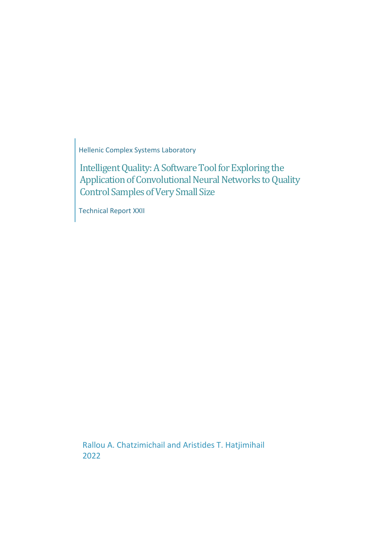Hellenic Complex Systems Laboratory

Intelligent Quality: A Software Tool for Exploring the Application of Convolutional Neural Networks to Quality Control Samples of Very Small Size

Technical Report XXII

Rallou A. Chatzimichail and Aristides T. Hatjimihail 2022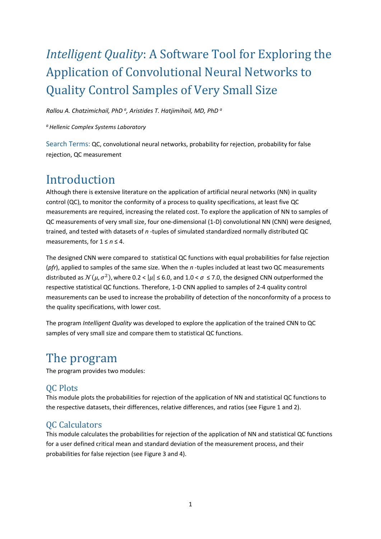# *Intelligent Quality*: A Software Tool for Exploring the Application of Convolutional Neural Networks to Quality Control Samples of Very Small Size

*Rallou A. Chatzimichail, PhD <sup>a</sup> , Aristides T. Hatjimihail, MD, PhD <sup>a</sup>*

*<sup>a</sup>Hellenic Complex Systems Laboratory*

Search Terms: QC, convolutional neural networks, probability for rejection, probability for false rejection, QC measurement

## Introduction

Although there is extensive literature on the application of artificial neural networks (NN) in quality control (QC), to monitor the conformity of a process to quality specifications, at least five QC measurements are required, increasing the related cost. To explore the application of NN to samples of QC measurements of very small size, four one-dimensional (1-D) convolutional NN (CNN) were designed, trained, and tested with datasets of *n* -tuples of simulated standardized normally distributed QC measurements, for 1 ≤ *n* ≤ 4.

The designed CNN were compared to statistical QC functions with equal probabilities for false rejection (*pfr*), applied to samples of the same size. When the *n* -tuples included at least two QC measurements distributed as  $\mathcal{N}(\mu, \sigma^2)$ , where 0.2 <  $|\mu| \le 6.0$ , and 1.0 <  $\sigma \le 7.0$ , the designed CNN outperformed the respective statistical QC functions. Therefore, 1-D CNN applied to samples of 2-4 quality control measurements can be used to increase the probability of detection of the nonconformity of a process to the quality specifications, with lower cost.

The program *Intelligent Quality* was developed to explore the application of the trained CNN to QC samples of very small size and compare them to statistical QC functions.

## The program

The program provides two modules:

## QC Plots

This module plots the probabilities for rejection of the application of NN and statistical QC functions to the respective datasets, their differences, relative differences, and ratios (see Figure 1 and 2).

## QC Calculators

This module calculates the probabilities for rejection of the application of NN and statistical QC functions for a user defined critical mean and standard deviation of the measurement process, and their probabilities for false rejection (see Figure 3 and 4).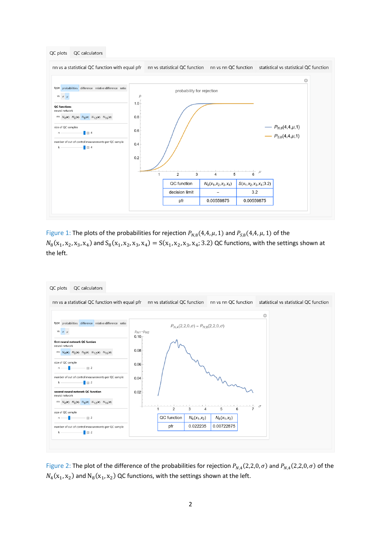

Figure 1: The plots of the probabilities for rejection  $P_{N,8}(4,4,\mu,1)$  and  $P_{S,8}(4,4,\mu,1)$  of the  $N_8(x_1, x_2, x_3, x_4)$  and  $S_8(x_1, x_2, x_3, x_4) = S(x_1, x_2, x_3, x_4; 3.2)$  QC functions, with the settings shown at the left.



Figure 2: The plot of the difference of the probabilities for rejection  $P_{N,4}(2,2,0,\sigma)$  and  $P_{N,4}(2,2,0,\sigma)$  of the  $N_4$ ( $x_1$ ,  $x_2$ ) and  $N_8$ ( $x_1$ ,  $x_2$ ) QC functions, with the settings shown at the left.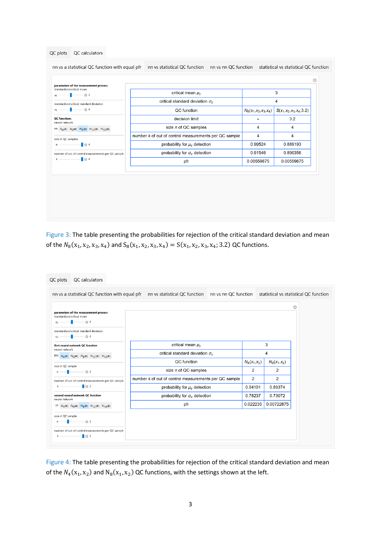| standardized critical mean<br>3<br>critical mean $\mu_c$<br>$ \boxplus$ 3<br>$\mu_c$<br>critical standard deviation $\sigma_c$<br>4<br>standardized critical standard deviation<br>$ \Box$ 4<br>QC function<br>$\sigma_C$<br>$N_8(x_1,x_2,x_3,x_4)$<br>3.2<br>decision limit<br>size n of QC samples<br>4<br>4<br>4<br>number k of out of control measurements per QC sample<br>4<br>0.889193<br>probability for $\mu_c$ detection<br>0.99524<br>$\blacksquare$ 3<br>probability for $\sigma_c$ detection<br>0.91546<br>0.890356<br>$\blacksquare$ $\blacksquare$ 4<br>k<br>0.00559875<br>0.00559875<br>pfr |  |  |                          |
|-------------------------------------------------------------------------------------------------------------------------------------------------------------------------------------------------------------------------------------------------------------------------------------------------------------------------------------------------------------------------------------------------------------------------------------------------------------------------------------------------------------------------------------------------------------------------------------------------------------|--|--|--------------------------|
|                                                                                                                                                                                                                                                                                                                                                                                                                                                                                                                                                                                                             |  |  |                          |
|                                                                                                                                                                                                                                                                                                                                                                                                                                                                                                                                                                                                             |  |  |                          |
| <b>QC</b> functions<br>neural network<br>nn $N_4(x)$ $N_6(x)$ $N_8(x)$ $N_{12}(x)$ $N_{16}(x)$<br>$n = 1$                                                                                                                                                                                                                                                                                                                                                                                                                                                                                                   |  |  | $S(x_1,x_2,x_3,x_4;3.2)$ |
|                                                                                                                                                                                                                                                                                                                                                                                                                                                                                                                                                                                                             |  |  |                          |
| size of QC samples                                                                                                                                                                                                                                                                                                                                                                                                                                                                                                                                                                                          |  |  |                          |
| number of out of control measurements per QC sample                                                                                                                                                                                                                                                                                                                                                                                                                                                                                                                                                         |  |  |                          |
|                                                                                                                                                                                                                                                                                                                                                                                                                                                                                                                                                                                                             |  |  |                          |
|                                                                                                                                                                                                                                                                                                                                                                                                                                                                                                                                                                                                             |  |  |                          |
|                                                                                                                                                                                                                                                                                                                                                                                                                                                                                                                                                                                                             |  |  |                          |
|                                                                                                                                                                                                                                                                                                                                                                                                                                                                                                                                                                                                             |  |  |                          |

Figure 3: The table presenting the probabilities for rejection of the critical standard deviation and mean of the  $N_8(x_1, x_2, x_3, x_4)$  and  $S_8(x_1, x_2, x_3, x_4) = S(x_1, x_2, x_3, x_4; 3.2)$  QC functions.

| QC calculators<br>QC plots                                                    |                                                                                                                                          |                |                |   |
|-------------------------------------------------------------------------------|------------------------------------------------------------------------------------------------------------------------------------------|----------------|----------------|---|
|                                                                               | nn vs a statistical QC function with equal pfr nn vs statistical QC function nn vs nn QC function statistical vs statistical QC function |                |                |   |
|                                                                               |                                                                                                                                          |                |                | o |
| parameters of the measurement process<br>standardized critical mean           |                                                                                                                                          |                |                |   |
| $-13$                                                                         |                                                                                                                                          |                |                |   |
| standardized critical standard deviation                                      |                                                                                                                                          |                |                |   |
| $-14$<br>$\sigma$                                                             |                                                                                                                                          |                |                |   |
| first neural network QC function<br>neural network                            | critical mean $\mu_c$                                                                                                                    |                | 3              |   |
| NN $N_4(x)$ $N_6(x)$ $N_8(x)$ $N_{12}(x)$ $N_{16}(x)$                         | critical standard deviation $\sigma_c$                                                                                                   | 4              |                |   |
|                                                                               | QC function                                                                                                                              | $N_4(x_1,x_2)$ | $N_8(x_1,x_2)$ |   |
| size of QC sample<br>$-\Box$ 2                                                | size n of QC samples                                                                                                                     | $\overline{2}$ | 2              |   |
| number of out of control measurements per QC sample                           | number k of out of control measurements per QC sample                                                                                    | $\overline{2}$ | 2              |   |
| $\overline{\phantom{a}}$ = 2                                                  | probability for $\mu_c$ detection                                                                                                        | 0.94101        | 0.89374        |   |
| second neural network QC function                                             | probability for $\sigma_c$ detection                                                                                                     | 0.78237        | 0.73072        |   |
| neural network<br>nn $N_4(x)$ $N_6(x)$ $N_8(x)$ $N_{12}(x)$ $N_{16}(x)$       | pfr                                                                                                                                      | 0.022235       | 0.00722875     |   |
|                                                                               |                                                                                                                                          |                |                |   |
| size of QC sample<br>$-112$                                                   |                                                                                                                                          |                |                |   |
|                                                                               |                                                                                                                                          |                |                |   |
| number of out of control measurements per QC sample<br>$\frac{1}{2}$ = 2<br>k |                                                                                                                                          |                |                |   |

Figure 4: The table presenting the probabilities for rejection of the critical standard deviation and mean of the  $N_4$ ( $x_1, x_2$ ) and  $N_8$ ( $x_1, x_2$ ) QC functions, with the settings shown at the left.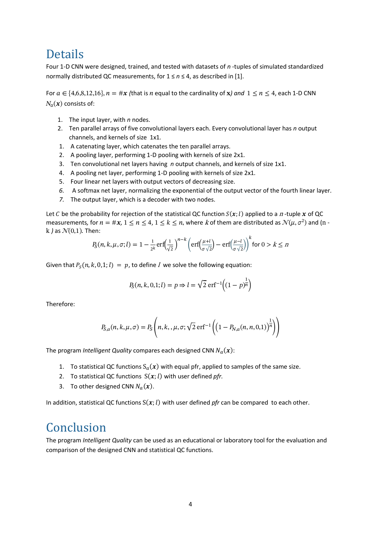## Details

Four 1-D CNN were designed, trained, and tested with datasets of *n* -tuples of simulated standardized normally distributed QC measurements, for 1 ≤ *n* ≤ 4, as described in [1].

For  $a \in \{4,6,8,12,16\}$ ,  $n = \#x$  (that is *n* equal to the cardinality of *x*) and  $1 \le n \le 4$ , each 1-D CNN  $N_{\alpha}(x)$  consists of:

- 1. The input layer, with *n* nodes.
- 2. Ten parallel arrays of five convolutional layers each. Every convolutional layer has *n* output channels, and kernels of size 1x1*.*
- 1. A catenating layer, which catenates the ten parallel arrays.
- 2. A pooling layer, performing 1-D pooling with kernels of size 2x1*.*
- 3. Ten convolutional net layers having *n* output channels, and kernels of size 1x1.
- 4. A pooling net layer, performing 1-D pooling with kernels of size 2x1*.*
- 5. Four linear net layers with output vectors of decreasing size.
- *6.* A softmax net layer, normalizing the exponential of the output vector of the fourth linear layer*.*
- *7.* The output layer, which is a decoder with two nodes.

Let C be the probability for rejection of the statistical QC function  $S(x; l)$  applied to a n-tuple x of QC measurements, for  $n = \#x$ ,  $1 \le n \le 4$ ,  $1 \le k \le n$ , where k of them are distributed as  $\mathcal{N}(\mu, \sigma^2)$  and (n k  $\}$  as  $\mathcal{N}(0,1)$ . Then:

$$
P_S(n,k,\mu,\sigma;l) = 1 - \frac{1}{2^k} \operatorname{erf}\left(\frac{1}{\sqrt{2}}\right)^{n-k} \left( \operatorname{erf}\left(\frac{\mu+l}{\sigma\sqrt{2}}\right) - \operatorname{erf}\left(\frac{\mu-l}{\sigma\sqrt{2}}\right) \right)^k \text{ for } 0 > k \le n
$$

Given that  $P_S(n, k, 0, 1; l) = p$ , to define *l* we solve the following equation:

$$
P_S(n, k, 0, 1; l) = p \Rightarrow l = \sqrt{2} \operatorname{erf}^{-1} \left( (1 - p)^{\frac{1}{n}} \right)
$$

Therefore:

$$
P_{S,a}(n, k, \mu, \sigma) = P_S\left(n, k, \mu, \sigma; \sqrt{2} \text{ erf}^{-1}\left(\left(1 - P_{N,a}(n, n, 0, 1)\right)^{\frac{1}{n}}\right)\right)
$$

The program *Intelligent Quality* compares each designed CNN  $N_a(\pmb{x})$ :

- 1. To statistical QC functions  $S_a(x)$  with equal pfr, applied to samples of the same size.
- 2. To statistical QC functions  $S(x; l)$  with user defined *pfr*.
- 3. To other designed CNN  $N_a(x)$ .

In addition, statistical QC functions  $S(x;l)$  with user defined *pfr* can be compared to each other.

## Conclusion

The program *Intelligent Quality* can be used as an educational or laboratory tool for the evaluation and comparison of the designed CNN and statistical QC functions.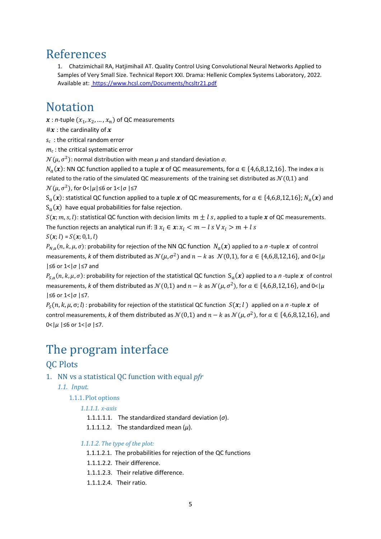## References

1. Chatzimichail RA, Hatjimihail AT. Quality Control Using Convolutional Neural Networks Applied to Samples of Very Small Size. Technical Report XXI. Drama: Hellenic Complex Systems Laboratory, 2022. Available at[:](%20) <https://www.hcsl.com/Documents/hcsltr21.pdf>

## Notation

 $x : n$ -tuple  $(x_1, x_2, ..., x_n)$  of QC measurements

# $x$  : the cardinality of  $x$ 

*sc* : the critical random error

*m<sup>c</sup>* : the critical systematic error

 $\mathcal{N}(\mu, \sigma^2)$ : normal distribution with mean  $\mu$  and standard deviation  $\sigma$ .

 $N_a(\bm{x})$ : NN QC function applied to a tuple  $\bm{x}$  of QC measurements, for  $a \in \{4,6,8,12,16\}$ . The index  $\alpha$  is related to the ratio of the simulated QC measurements of the training set distributed as  $\mathcal{N}(0,1)$  and  $\mathcal{N}(\mu, \sigma^2)$ , for 0<| $\mu$ |≤6 or 1<| $\sigma$  |≤7

 $S_a(\bm{x})$ : statistical QC function applied to a tuple  $\bm{x}$  of QC measurements, for  $a\in\{4,6,8,12,16\};$   $N_a(\bm{x})$  and  $\mathcal{S}_a(\pmb{x})$  have equal probabilities for false rejection.

 $S(x; m, s, l)$ : statistical QC function with decision limits  $m \pm l$  s, applied to a tuple x of QC measurements. The function rejects an analytical run if:  $\exists x_i \in \mathbf{x} : x_i < m - l$  s  $\forall x_i > m + l$  s  $S(x; l) = S(x; 0, 1, l)$ 

 $P_{N,a}(n,k,\mu,\sigma)$ : probability for rejection of the NN QC function  $N_a(\bm{x})$  applied to a *n*-tuple  $\bm{x}$  of control measurements, *k* of them distributed as  $N(\mu, \sigma^2)$  and  $n - k$  as  $N(0,1)$ , for  $a \in \{4,6,8,12,16\}$ , and 0< | $\mu$ |≤6 or 1<|*σ* |≤7 and

 $P_{S,a}(n,k,\mu,\sigma)$ : probability for rejection of the statistical QC function  $S_a(x)$  applied to a *n*-tuple x of control measurements, *k* of them distributed as  $\mathcal{N}(0,1)$  and  $n-k$  as  $\mathcal{N}(\mu,\sigma^2)$ , for  $a\in\{4,6,8,12,16\}$ , and 0<  $|\mu|$ |≤6 or 1<|*σ* |≤7.

 $P_S(n, k, \mu, \sigma; l)$ : probability for rejection of the statistical QC function  $S(x; l)$  applied on a *n*-tuple x of control measurements, k of them distributed as  $\mathcal{N}(0,1)$  and  $n-k$  as  $\mathcal{N}(\mu,\sigma^2)$ , for  $a\in\{4,6,8,12,16\}$ , and 0<|*μ* |≤6 or 1<|*σ* |≤7.

## The program interface

## QC Plots

- 1. NN vs a statistical QC function with equal *pfr*
	- *1.1. Input.*

### 1.1.1.Plot options

### *1.1.1.1. x-axis*

1.1.1.1.1. The standardized standard deviation (*σ*).

1.1.1.1.2. The standardized mean  $(\mu)$ .

### *1.1.1.2. The type of the plot:*

- 1.1.1.2.1. The probabilities for rejection of the QC functions
- 1.1.1.2.2. Their difference.
- 1.1.1.2.3. Their relative difference.
- 1.1.1.2.4. Their ratio.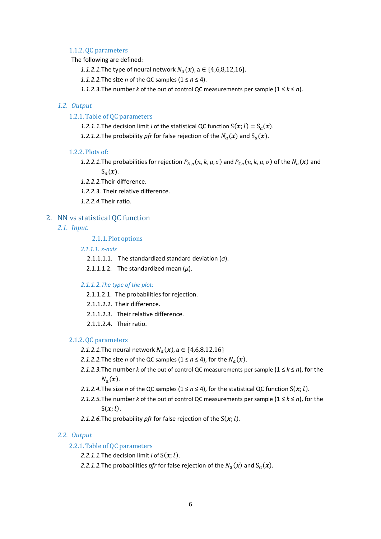#### 1.1.2.QC parameters

The following are defined:

1.1.2.1.The type of neural network  $N_a(x)$ , a ∈ {4,6,8,12,16}.

*1.1.2.2.*The size *n* of the QC samples (1 ≤ *n* ≤ 4).

*1.1.2.3.*The number *k* of the out of control QC measurements per sample (1 ≤ *k* ≤ *n*).

#### *1.2. Output*

#### 1.2.1.Table of QC parameters

- 1.2.1.1.The decision limit *l* of the statistical QC function  $S(x; l) = S_a(x)$ .
- 1.2.1.2. The probability *pfr* for false rejection of the  $N_a(\pmb{x})$  and  $\text{S}_a(\pmb{x})$ .

#### 1.2.2.Plots of:

1.2.2.1. The probabilities for rejection  $P_{N,a}(n, k, \mu, \sigma)$  and  $P_{S,a}(n, k, \mu, \sigma)$  of the  $N_a(\bm{x})$  and  $S_a(x)$ .

*1.2.2.2.*Their difference.

*1.2.2.3.* Their relative difference.

*1.2.2.4.*Their ratio.

#### 2. NN vs statistical QC function

*2.1. Input.*

2.1.1.Plot options

*2.1.1.1. x-axis*

2.1.1.1.1. The standardized standard deviation (*σ*).

2.1.1.1.2. The standardized mean  $(\mu)$ .

#### *2.1.1.2.The type of the plot:*

- 2.1.1.2.1. The probabilities for rejection.
- 2.1.1.2.2. Their difference.
- 2.1.1.2.3. Their relative difference.
- 2.1.1.2.4. Their ratio.

#### 2.1.2.QC parameters

- 2.1.2.1.The neural network  $N_a(x)$ , a  $\in$   $\{4,6,8,12,16\}$
- 2.1.2.2. The size *n* of the QC samples  $(1 \le n \le 4)$ , for the  $N_a(\boldsymbol{x})$ .
- *2.1.2.3.*The number *k* of the out of control QC measurements per sample (1 ≤ *k* ≤ *n*), for the  $N_a(x)$ .
- *2.1.2.4.* The size *n* of the QC samples ( $1 \le n \le 4$ ), for the statistical QC function  $S(x; l)$ .
- *2.1.2.5.*The number *k* of the out of control QC measurements per sample (1 ≤ *k* ≤ *n*), for the  $S(x; l)$ .
- 2.1.2.6. The probability *pfr* for false rejection of the  $S(x; l)$ .

#### *2.2. Output*

### 2.2.1.Table of QC parameters

2.2.1.1. The decision limit  $I$  of  $S(x; l)$ .

2.2.1.2. The probabilities *pfr* for false rejection of the  $N_a(\bm{x})$  and  $S_a(\bm{x})$ .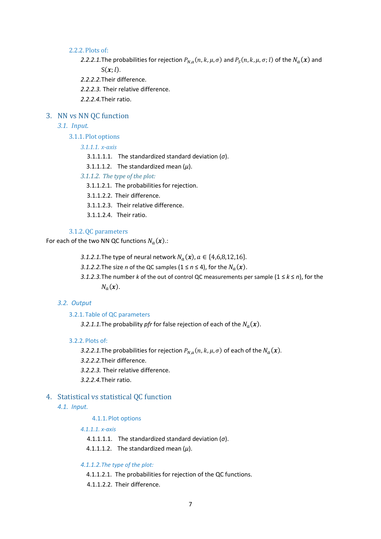#### 2.2.2.Plots of:

- 2.2.2.1. The probabilities for rejection  $P_{N,a}(n, k, \mu, \sigma)$  and  $P_S(n, k, \mu, \sigma; l)$  of the  $N_a(\bm{x})$  and  $S(x;l)$ .
- *2.2.2.2.*Their difference.
- *2.2.2.3.* Their relative difference.
- *2.2.2.4.*Their ratio.

### 3. NN vs NN QC function

### *3.1. Input.*

3.1.1.Plot options

*3.1.1.1. x-axis*

- 3.1.1.1.1. The standardized standard deviation (*σ*).
- 3.1.1.1.2. The standardized mean  $(\mu)$ .
- *3.1.1.2. The type of the plot:*
	- 3.1.1.2.1. The probabilities for rejection.
	- 3.1.1.2.2. Their difference.
	- 3.1.1.2.3. Their relative difference.
	- 3.1.1.2.4. Their ratio.

#### 3.1.2.QC parameters

For each of the two NN QC functions  $N_a(\boldsymbol{x})$ .:

- 3.1.2.1. The type of neural network  $N_a(x)$ ,  $a \in \{4,6,8,12,16\}$ .
- 3.1.2.2. The size *n* of the QC samples  $(1 \le n \le 4)$ , for the  $N_a(\boldsymbol{x})$ .
- *3.1.2.3.*The number *k* of the out of control QC measurements per sample (1 ≤ *k* ≤ *n*), for the  $N_a(x)$ .

#### *3.2. Output*

#### 3.2.1.Table of QC parameters

3.2.1.1.The probability *pfr* for false rejection of each of the  $N_a(\boldsymbol{x})$ .

#### 3.2.2.Plots of:

- 3.2.2.1. The probabilities for rejection  $P_{N,a}(n,k,\mu,\sigma)$  of each of the  $N_a(\pmb{x})$ .
- *3.2.2.2.*Their difference.
- *3.2.2.3.* Their relative difference.
- *3.2.2.4.*Their ratio.

#### 4. Statistical vs statistical QC function

#### *4.1. Input.*

#### 4.1.1.Plot options

#### *4.1.1.1. x-axis*

- 4.1.1.1.1. The standardized standard deviation (*σ*).
- 4.1.1.1.2. The standardized mean  $(\mu)$ .

#### *4.1.1.2.The type of the plot:*

- 4.1.1.2.1. The probabilities for rejection of the QC functions.
- 4.1.1.2.2. Their difference.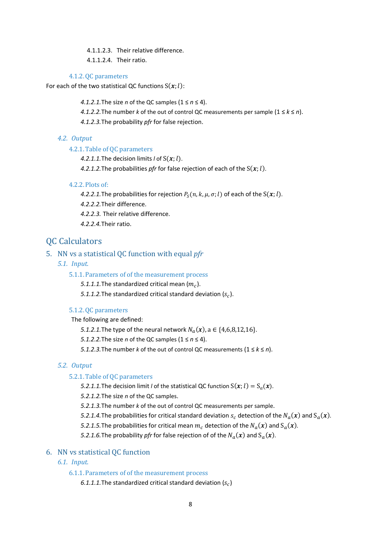4.1.1.2.3. Their relative difference.

4.1.1.2.4. Their ratio.

#### 4.1.2.QC parameters

For each of the two statistical QC functions  $S(x; l)$ :

*4.1.2.1.*The size *n* of the QC samples (1 ≤ *n* ≤ 4).

*4.1.2.2.*The number *k* of the out of control QC measurements per sample (1 ≤ *k* ≤ *n*).

*4.1.2.3.*The probability *pfr* for false rejection.

### *4.2. Output*

#### 4.2.1.Table of QC parameters

4.2.1.1. The decision limits  $l$  of  $S(x; l)$ .

4.2.1.2. The probabilities *pfr* for false rejection of each of the  $S(x; l)$ .

#### 4.2.2.Plots of:

*4.2.2.1.* The probabilities for rejection  $P_S(n, k, \mu, \sigma; l)$  of each of the  $S(\pmb{x}; l)$ .

*4.2.2.2.*Their difference.

*4.2.2.3.* Their relative difference.

*4.2.2.4.*Their ratio.

### **OC Calculators**

#### 5. NN vs a statistical QC function with equal *pfr*

*5.1. Input.*

#### 5.1.1.Parameters of of the measurement process

5.1.1.1.The standardized critical mean  $(m_c)$ .

5.1.1.2. The standardized critical standard deviation  $(s_c)$ .

#### 5.1.2.QC parameters

The following are defined:

*5.1.2.1.*The type of the neural network  $N_a(x)$ ,  $a \in \{4,6,8,12,16\}.$ 

*5.1.2.2.*The size *n* of the QC samples (1 ≤ *n* ≤ 4).

*5.1.2.3.*The number *k* of the out of control QC measurements (1 ≤ *k* ≤ *n*).

#### *5.2. Output*

### 5.2.1.Table of QC parameters

5.2.1.1.The decision limit *l* of the statistical QC function  $S(x; l) = S_a(x)$ .

*5.2.1.2.*The size *n* of the QC samples.

*5.2.1.3.*The number *k* of the out of control QC measurements per sample.

5.2.1.4. The probabilities for critical standard deviation  $s_c$  detection of the  $N_a(\pmb{x})$  and  $\text{S}_a(\pmb{x})$ .

5.2.1.5. The probabilities for critical mean  $m_c$  detection of the  $N_a(\pmb{x})$  and  $\text{S}_a(\pmb{x})$ .

*5.2.1.6.* The probability *pfr* for false rejection of of the  $N_a(\pmb{x})$  and  $\text{S}_a(\pmb{x})$ .

### 6. NN vs statistical QC function

*6.1. Input.*

6.1.1.Parameters of of the measurement process

 $6.1.1.1$ .The standardized critical standard deviation ( $s_c$ )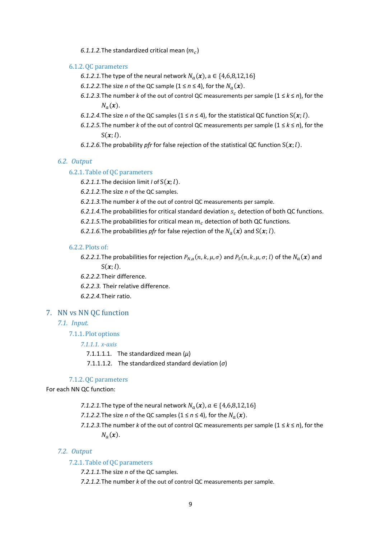6.1.1.2. The standardized critical mean  $(m_c)$ 

#### 6.1.2.QC parameters

- 6.1.2.1. The type of the neural network  $N_a(x)$ , a ∈  $\{4,6,8,12,16\}$
- 6.1.2.2. The size *n* of the QC sample  $(1 \le n \le 4)$ , for the  $N_a(x)$ .
- *6.1.2.3.* The number *k* of the out of control QC measurements per sample  $(1 \le k \le n)$ , for the  $N_a(x)$ .
- *6.1.2.4.* The size *n* of the QC samples (1  $\leq$  *n*  $\leq$  4), for the statistical QC function  $S(x; l)$ .
- *6.1.2.5.* The number *k* of the out of control QC measurements per sample  $(1 \le k \le n)$ , for the  $S(x;l).$
- 6.1.2.6. The probability *pfr* for false rejection of the statistical QC function  $S(x; l)$ .

#### *6.2. Output*

#### 6.2.1.Table of QC parameters

6.2.1.1. The decision limit *l* of  $S(x; l)$ .

*6.2.1.2.*The size *n* of the QC samples.

*6.2.1.3.*The number *k* of the out of control QC measurements per sample.

- 6.2.1.4. The probabilities for critical standard deviation  $s_c$  detection of both QC functions.
- 6.2.1.5. The probabilities for critical mean  $m_c$  detection of both QC functions.
- 6.2.1.6. The probabilities *pfr* for false rejection of the  $N_a(\boldsymbol{x})$  and  $S(\boldsymbol{x};l)$ .

#### 6.2.2.Plots of:

6.2.2.1. The probabilities for rejection  $P_{N,a}(n, k, \mu, \sigma)$  and  $P_S(n, k, \mu, \sigma; l)$  of the  $N_a(\bm{x})$  and  $S(x; l)$ .

*6.2.2.2.*Their difference.

*6.2.2.3.* Their relative difference.

*6.2.2.4.*Their ratio.

#### 7. NN vs NN QC function

#### *7.1. Input.*

7.1.1.Plot options

#### *7.1.1.1. x-axis*

7.1.1.1.1.1. The standardized mean  $(\mu)$ 

7.1.1.1.2. The standardized standard deviation (*σ*)

#### 7.1.2.QC parameters

For each NN QC function:

- *7.1.2.1.* The type of the neural network  $N_a(x)$ ,  $a \in \{4,6,8,12,16\}$
- *7.1.2.2.* The size *n* of the QC samples  $(1 \le n \le 4)$ , for the  $N_a(x)$ .
- *7.1.2.3.*The number *k* of the out of control QC measurements per sample (1 ≤ *k* ≤ *n*), for the  $N_a(x)$ .

#### *7.2. Output*

#### 7.2.1.Table of QC parameters

*7.2.1.1.*The size *n* of the QC samples.

*7.2.1.2.*The number *k* of the out of control QC measurements per sample.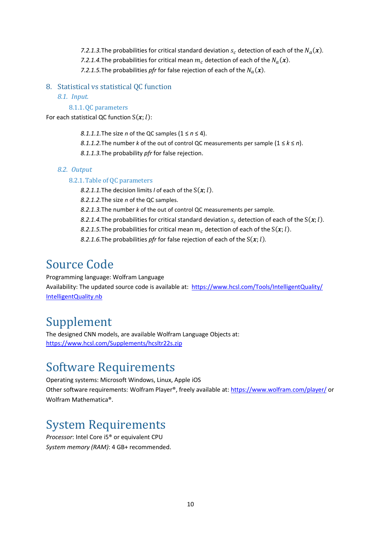7.2.1.3. The probabilities for critical standard deviation  $s_c$  detection of each of the  $N_a(\boldsymbol{x})$ . *7.2.1.4.* The probabilities for critical mean  $m_c$  detection of each of the  $N_a(\boldsymbol{x})$ . 7.2.1.5. The probabilities *pfr* for false rejection of each of the  $N_a(x)$ .

- 8. Statistical vs statistical QC function
	- *8.1. Input.*

### 8.1.1.QC parameters

For each statistical QC function  $S(x; l)$ :

- *8.1.1.1.* The size *n* of the QC samples  $(1 \le n \le 4)$ .
- *8.1.1.2.*The number *k* of the out of control QC measurements per sample (1 ≤ *k* ≤ *n*).
- *8.1.1.3.*The probability *pfr* for false rejection.

### *8.2. Output*

### 8.2.1.Table of QC parameters

- *8.2.1.1.* The decision limits *l* of each of the  $S(x; l)$ .
- *8.2.1.2.*The size *n* of the QC samples.
- *8.2.1.3.*The number *k* of the out of control QC measurements per sample.
- *8.2.1.4.* The probabilities for critical standard deviation  $s_c$  detection of each of the  $S(x; l)$ .
- *8.2.1.5.* The probabilities for critical mean  $m_c$  detection of each of the  $S(x; l)$ .
- *8.2.1.6.* The probabilities *pfr* for false rejection of each of the  $S(x; l)$ *.*

# Source Code

Programming language: Wolfram Language Availability: The updated source code is available at: [https://www.hcsl.com/Tools/IntelligentQuality/](https://www.hcsl.com/Tools/IntelligentQuality/%20IntelligentQuality.nb) [IntelligentQuality.nb](https://www.hcsl.com/Tools/IntelligentQuality/%20IntelligentQuality.nb)

# Supplement

The designed CNN models, are available Wolfram Language Objects at[:](%20) <https://www.hcsl.com/Supplements/hcsltr22s.zip>

# Software Requirements

Operating systems: Microsoft Windows, Linux, Apple iOS Other software requirements: Wolfram Player®, freely available at[: https://www.wolfram.com/player/](https://www.wolfram.com/player/) or Wolfram Mathematica®.

# System Requirements

*Processor*: Intel Core i5® or equivalent CPU *System memory (RAM)*: 4 GB+ recommended.